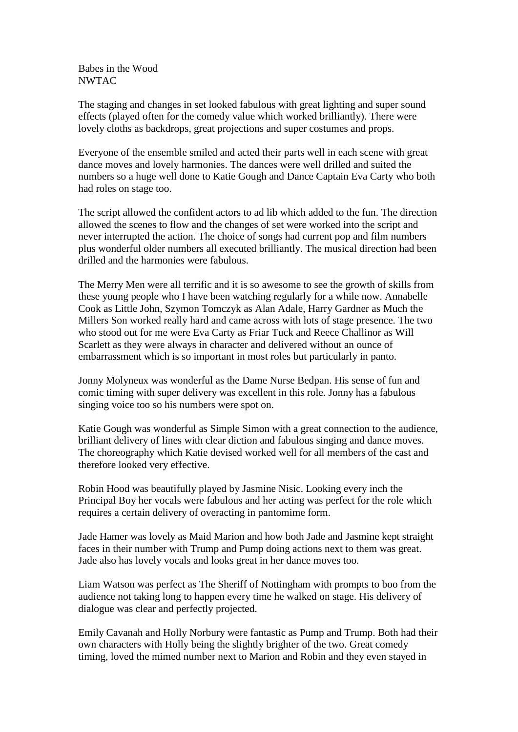Babes in the Wood NWTAC

The staging and changes in set looked fabulous with great lighting and super sound effects (played often for the comedy value which worked brilliantly). There were lovely cloths as backdrops, great projections and super costumes and props.

Everyone of the ensemble smiled and acted their parts well in each scene with great dance moves and lovely harmonies. The dances were well drilled and suited the numbers so a huge well done to Katie Gough and Dance Captain Eva Carty who both had roles on stage too.

The script allowed the confident actors to ad lib which added to the fun. The direction allowed the scenes to flow and the changes of set were worked into the script and never interrupted the action. The choice of songs had current pop and film numbers plus wonderful older numbers all executed brilliantly. The musical direction had been drilled and the harmonies were fabulous.

The Merry Men were all terrific and it is so awesome to see the growth of skills from these young people who I have been watching regularly for a while now. Annabelle Cook as Little John, Szymon Tomczyk as Alan Adale, Harry Gardner as Much the Millers Son worked really hard and came across with lots of stage presence. The two who stood out for me were Eva Carty as Friar Tuck and Reece Challinor as Will Scarlett as they were always in character and delivered without an ounce of embarrassment which is so important in most roles but particularly in panto.

Jonny Molyneux was wonderful as the Dame Nurse Bedpan. His sense of fun and comic timing with super delivery was excellent in this role. Jonny has a fabulous singing voice too so his numbers were spot on.

Katie Gough was wonderful as Simple Simon with a great connection to the audience, brilliant delivery of lines with clear diction and fabulous singing and dance moves. The choreography which Katie devised worked well for all members of the cast and therefore looked very effective.

Robin Hood was beautifully played by Jasmine Nisic. Looking every inch the Principal Boy her vocals were fabulous and her acting was perfect for the role which requires a certain delivery of overacting in pantomime form.

Jade Hamer was lovely as Maid Marion and how both Jade and Jasmine kept straight faces in their number with Trump and Pump doing actions next to them was great. Jade also has lovely vocals and looks great in her dance moves too.

Liam Watson was perfect as The Sheriff of Nottingham with prompts to boo from the audience not taking long to happen every time he walked on stage. His delivery of dialogue was clear and perfectly projected.

Emily Cavanah and Holly Norbury were fantastic as Pump and Trump. Both had their own characters with Holly being the slightly brighter of the two. Great comedy timing, loved the mimed number next to Marion and Robin and they even stayed in